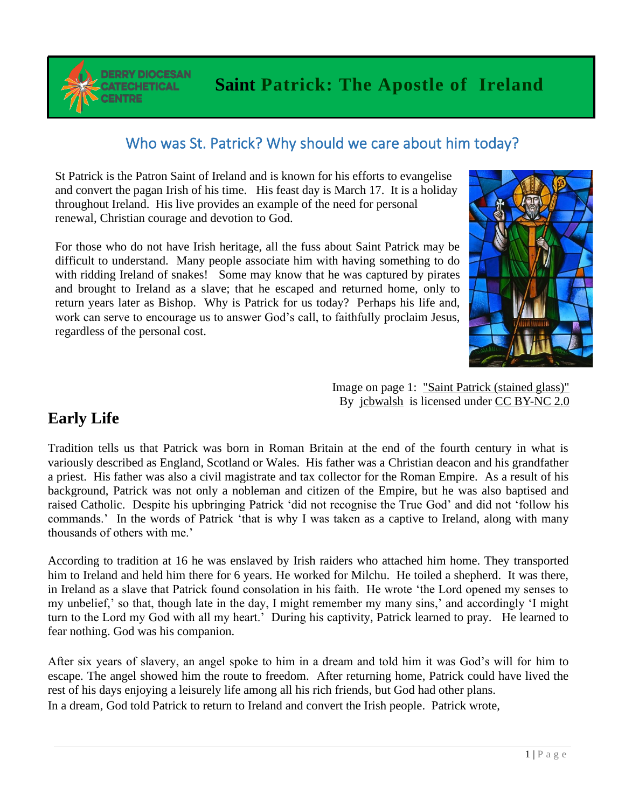**DERRY DIOCESAN TECHETICAL ENTRE** 

## Who was St. Patrick? Why should we care about him today?

St Patrick is the Patron Saint of Ireland and is known for his efforts to evangelise and convert the pagan Irish of his time. His feast day is March 17. It is a holiday throughout Ireland. His live provides an example of the need for personal renewal, Christian courage and devotion to God.

For those who do not have Irish heritage, all the fuss about Saint Patrick may be difficult to understand. Many people associate him with having something to do with ridding Ireland of snakes! Some may know that he was captured by pirates and brought to Ireland as a slave; that he escaped and returned home, only to return years later as Bishop. Why is Patrick for us today? Perhaps his life and, work can serve to encourage us to answer God's call, to faithfully proclaim Jesus, regardless of the personal cost.



Image on page 1: ["Saint Patrick \(stained glass\)"](https://www.flickr.com/photos/36520408@N02/5536198224) By [jcbwalsh](https://www.flickr.com/photos/36520408@N02) is licensed under [CC BY-NC 2.0](https://creativecommons.org/licenses/by-nc/2.0/?ref=ccsearch&atype=rich)

# **Early Life**

Tradition tells us that Patrick was born in Roman Britain at the end of the fourth century in what is variously described as England, Scotland or Wales. His father was a Christian deacon and his grandfather a priest. His father was also a civil magistrate and tax collector for the Roman Empire. As a result of his background, Patrick was not only a nobleman and citizen of the Empire, but he was also baptised and raised Catholic. Despite his upbringing Patrick 'did not recognise the True God' and did not 'follow his commands.' In the words of Patrick 'that is why I was taken as a captive to Ireland, along with many thousands of others with me.'

According to tradition at 16 he was enslaved by Irish raiders who attached him home. They transported him to Ireland and held him there for 6 years. He worked for Milchu. He toiled a shepherd. It was there, in Ireland as a slave that Patrick found consolation in his faith. He wrote 'the Lord opened my senses to my unbelief,' so that, though late in the day, I might remember my many sins,' and accordingly 'I might turn to the Lord my God with all my heart.' During his captivity, Patrick learned to pray. He learned to fear nothing. God was his companion.

After six years of slavery, an angel spoke to him in a dream and told him it was God's will for him to escape. The angel showed him the route to freedom. After returning home, Patrick could have lived the rest of his days enjoying a leisurely life among all his rich friends, but God had other plans. In a dream, God told Patrick to return to Ireland and convert the Irish people. Patrick wrote, <sup>1</sup>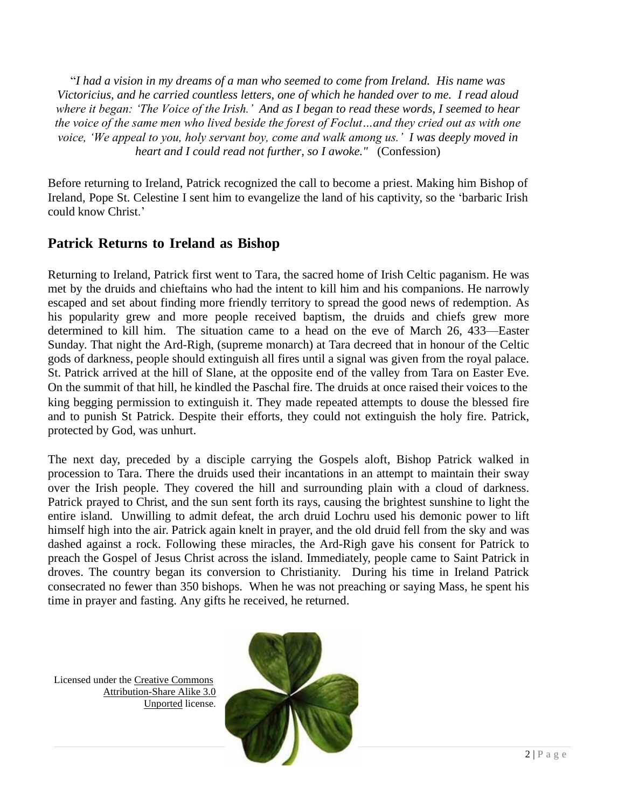"*I had a vision in my dreams of a man who seemed to come from Ireland. His name was Victoricius, and he carried countless letters, one of which he handed over to me. I read aloud where it began: 'The Voice of the Irish.' And as I began to read these words, I seemed to hear the voice of the same men who lived beside the forest of Foclut…and they cried out as with one voice, 'We appeal to you, holy servant boy, come and walk among us.' I was deeply moved in heart and I could read not further, so I awoke."* (Confession)

Before returning to Ireland, Patrick recognized the call to become a priest. Making him Bishop of Ireland, Pope St. Celestine I sent him to evangelize the land of his captivity, so the 'barbaric Irish could know Christ.'

### **Patrick Returns to Ireland as Bishop**

Returning to Ireland, Patrick first went to Tara, the sacred home of Irish Celtic paganism. He was met by the druids and chieftains who had the intent to kill him and his companions. He narrowly escaped and set about finding more friendly territory to spread the good news of redemption. As his popularity grew and more people received baptism, the druids and chiefs grew more determined to kill him. The situation came to a head on the eve of March 26, 433—Easter Sunday. That night the Ard-Righ, (supreme monarch) at Tara decreed that in honour of the Celtic gods of darkness, people should extinguish all fires until a signal was given from the royal palace. St. Patrick arrived at the hill of Slane, at the opposite end of the valley from Tara on Easter Eve. On the summit of that hill, he kindled the Paschal fire. The druids at once raised their voices to the king begging permission to extinguish it. They made repeated attempts to douse the blessed fire and to punish St Patrick. Despite their efforts, they could not extinguish the holy fire. Patrick, protected by God, was unhurt.

The next day, preceded by a disciple carrying the Gospels aloft, Bishop Patrick walked in procession to Tara. There the druids used their incantations in an attempt to maintain their sway over the Irish people. They covered the hill and surrounding plain with a cloud of darkness. Patrick prayed to Christ, and the sun sent forth its rays, causing the brightest sunshine to light the entire island. Unwilling to admit defeat, the arch druid Lochru used his demonic power to lift himself high into the air. Patrick again knelt in prayer, and the old druid fell from the sky and was dashed against a rock. Following these miracles, the Ard-Righ gave his consent for Patrick to preach the Gospel of Jesus Christ across the island. Immediately, people came to Saint Patrick in droves. The country began its conversion to Christianity. During his time in Ireland Patrick consecrated no fewer than 350 bishops. When he was not preaching or saying Mass, he spent his time in prayer and fasting. Any gifts he received, he returned.

Licensed under the [Creative Commons](https://en.wikipedia.org/wiki/en:Creative_Commons) [Attribution-Share Alike 3.0](https://creativecommons.org/licenses/by-sa/3.0/deed.en)  [Unported](https://creativecommons.org/licenses/by-sa/3.0/deed.en) license.